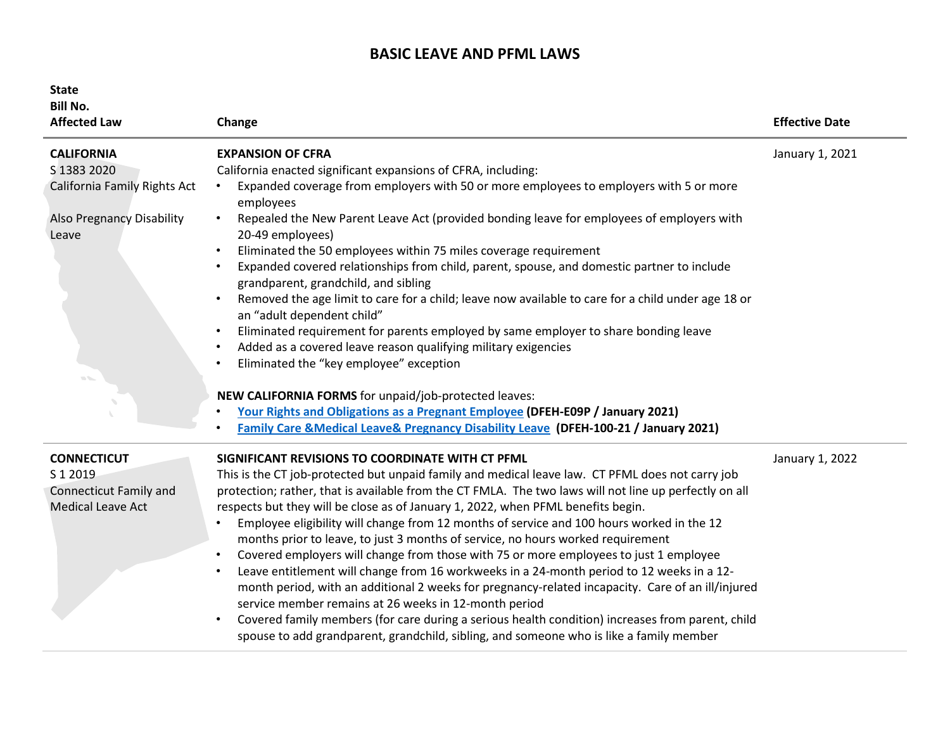## **BASIC LEAVE AND PFML LAWS**

| <b>State</b><br><b>Bill No.</b><br><b>Affected Law</b> | Change                                                                                                                                          | <b>Effective Date</b> |
|--------------------------------------------------------|-------------------------------------------------------------------------------------------------------------------------------------------------|-----------------------|
| <b>CALIFORNIA</b><br>S 1383 2020                       | <b>EXPANSION OF CFRA</b><br>California enacted significant expansions of CFRA, including:                                                       | January 1, 2021       |
| California Family Rights Act                           | Expanded coverage from employers with 50 or more employees to employers with 5 or more<br>$\bullet$<br>employees                                |                       |
| <b>Also Pregnancy Disability</b><br>Leave              | Repealed the New Parent Leave Act (provided bonding leave for employees of employers with<br>20-49 employees)                                   |                       |
|                                                        | Eliminated the 50 employees within 75 miles coverage requirement<br>$\bullet$                                                                   |                       |
|                                                        | Expanded covered relationships from child, parent, spouse, and domestic partner to include<br>$\bullet$<br>grandparent, grandchild, and sibling |                       |
|                                                        | Removed the age limit to care for a child; leave now available to care for a child under age 18 or<br>$\bullet$<br>an "adult dependent child"   |                       |
|                                                        | Eliminated requirement for parents employed by same employer to share bonding leave<br>$\bullet$                                                |                       |
|                                                        | Added as a covered leave reason qualifying military exigencies<br>$\bullet$                                                                     |                       |
|                                                        | Eliminated the "key employee" exception<br>$\bullet$                                                                                            |                       |
|                                                        | NEW CALIFORNIA FORMS for unpaid/job-protected leaves:                                                                                           |                       |
|                                                        | Your Rights and Obligations as a Pregnant Employee (DFEH-E09P / January 2021)                                                                   |                       |
|                                                        | <b>Family Care &amp;Medical Leave&amp; Pregnancy Disability Leave (DFEH-100-21 / January 2021)</b>                                              |                       |
| <b>CONNECTICUT</b>                                     | SIGNIFICANT REVISIONS TO COORDINATE WITH CT PFML                                                                                                | January 1, 2022       |
| S 1 2019                                               | This is the CT job-protected but unpaid family and medical leave law. CT PFML does not carry job                                                |                       |
| <b>Connecticut Family and</b>                          | protection; rather, that is available from the CT FMLA. The two laws will not line up perfectly on all                                          |                       |
| <b>Medical Leave Act</b>                               | respects but they will be close as of January 1, 2022, when PFML benefits begin.                                                                |                       |
|                                                        | Employee eligibility will change from 12 months of service and 100 hours worked in the 12                                                       |                       |
|                                                        | months prior to leave, to just 3 months of service, no hours worked requirement                                                                 |                       |
|                                                        | Covered employers will change from those with 75 or more employees to just 1 employee<br>$\bullet$                                              |                       |
|                                                        | Leave entitlement will change from 16 workweeks in a 24-month period to 12 weeks in a 12-<br>$\bullet$                                          |                       |
|                                                        | month period, with an additional 2 weeks for pregnancy-related incapacity. Care of an ill/injured                                               |                       |
|                                                        | service member remains at 26 weeks in 12-month period                                                                                           |                       |
|                                                        | Covered family members (for care during a serious health condition) increases from parent, child<br>$\bullet$                                   |                       |
|                                                        | spouse to add grandparent, grandchild, sibling, and someone who is like a family member                                                         |                       |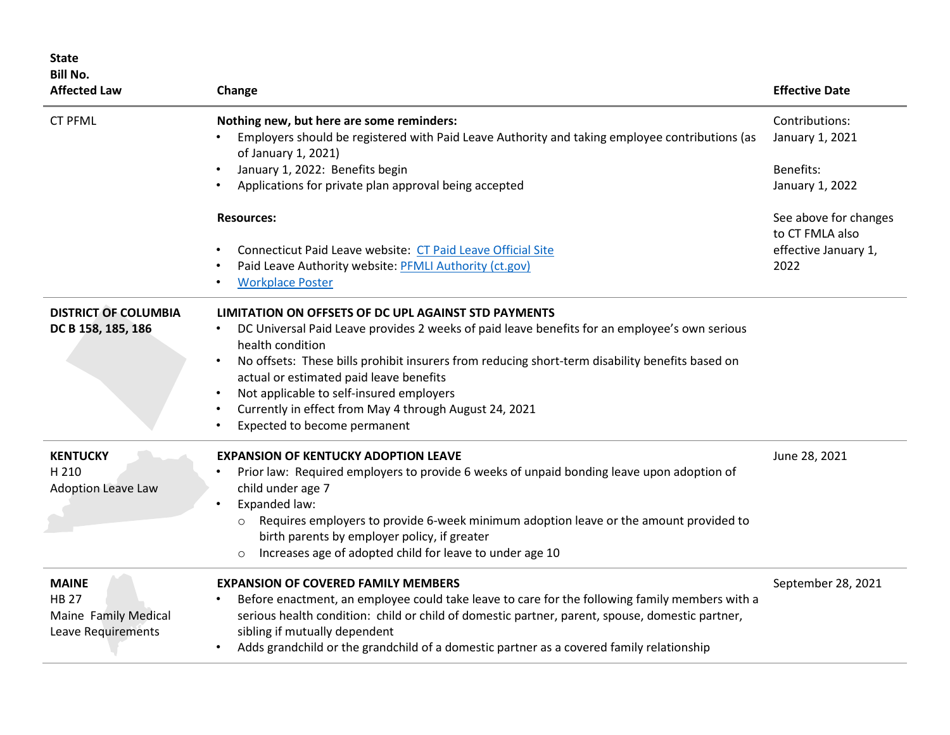| <b>State</b><br><b>Bill No.</b><br><b>Affected Law</b>                     | Change                                                                                                                                                                                                                                                                                                                                                                                                                                                                                                            | <b>Effective Date</b>                    |
|----------------------------------------------------------------------------|-------------------------------------------------------------------------------------------------------------------------------------------------------------------------------------------------------------------------------------------------------------------------------------------------------------------------------------------------------------------------------------------------------------------------------------------------------------------------------------------------------------------|------------------------------------------|
| <b>CT PFML</b>                                                             | Nothing new, but here are some reminders:<br>Employers should be registered with Paid Leave Authority and taking employee contributions (as<br>of January 1, 2021)                                                                                                                                                                                                                                                                                                                                                | Contributions:<br>January 1, 2021        |
|                                                                            | January 1, 2022: Benefits begin<br>Applications for private plan approval being accepted                                                                                                                                                                                                                                                                                                                                                                                                                          | Benefits:<br>January 1, 2022             |
|                                                                            | <b>Resources:</b>                                                                                                                                                                                                                                                                                                                                                                                                                                                                                                 | See above for changes<br>to CT FMLA also |
|                                                                            | Connecticut Paid Leave website: CT Paid Leave Official Site<br>Paid Leave Authority website: PFMLI Authority (ct.gov)<br><b>Workplace Poster</b>                                                                                                                                                                                                                                                                                                                                                                  | effective January 1,<br>2022             |
| <b>DISTRICT OF COLUMBIA</b><br>DC B 158, 185, 186                          | LIMITATION ON OFFSETS OF DC UPL AGAINST STD PAYMENTS<br>DC Universal Paid Leave provides 2 weeks of paid leave benefits for an employee's own serious<br>$\bullet$<br>health condition<br>No offsets: These bills prohibit insurers from reducing short-term disability benefits based on<br>$\bullet$<br>actual or estimated paid leave benefits<br>Not applicable to self-insured employers<br>$\bullet$<br>Currently in effect from May 4 through August 24, 2021<br>$\bullet$<br>Expected to become permanent |                                          |
| <b>KENTUCKY</b><br>H 210<br><b>Adoption Leave Law</b>                      | <b>EXPANSION OF KENTUCKY ADOPTION LEAVE</b><br>Prior law: Required employers to provide 6 weeks of unpaid bonding leave upon adoption of<br>child under age 7<br>Expanded law:<br>$\bullet$<br>Requires employers to provide 6-week minimum adoption leave or the amount provided to<br>$\circ$<br>birth parents by employer policy, if greater<br>Increases age of adopted child for leave to under age 10<br>$\circ$                                                                                            | June 28, 2021                            |
| <b>MAINE</b><br><b>HB 27</b><br>Maine Family Medical<br>Leave Requirements | <b>EXPANSION OF COVERED FAMILY MEMBERS</b><br>Before enactment, an employee could take leave to care for the following family members with a<br>$\bullet$<br>serious health condition: child or child of domestic partner, parent, spouse, domestic partner,<br>sibling if mutually dependent<br>Adds grandchild or the grandchild of a domestic partner as a covered family relationship                                                                                                                         | September 28, 2021                       |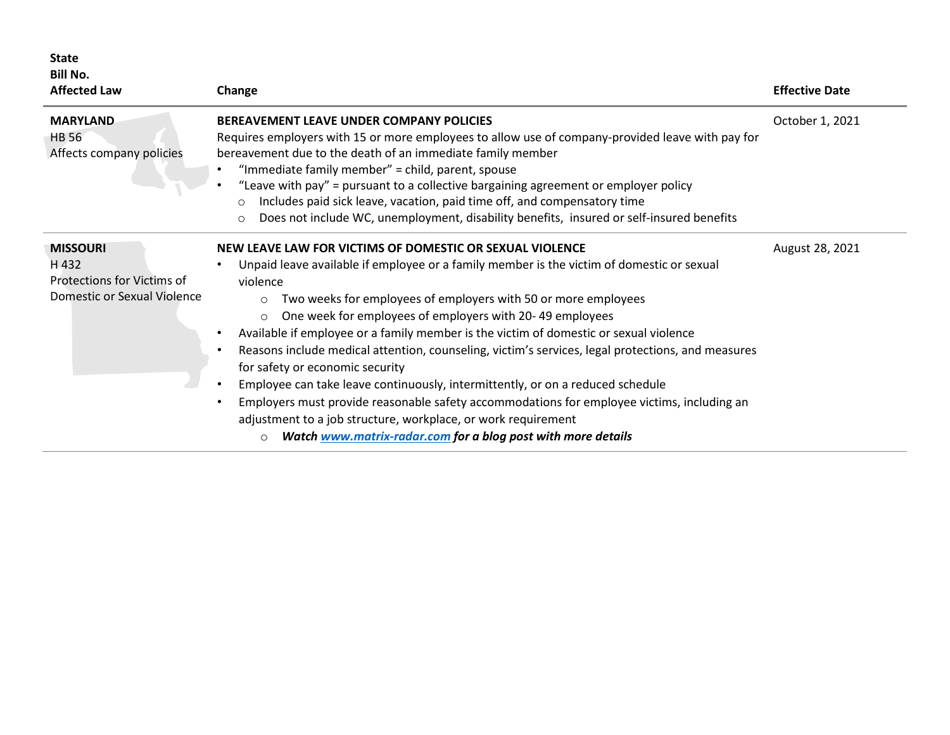| <b>State</b><br><b>Bill No.</b><br><b>Affected Law</b>                                       | Change                                                                                                                                                                                                                                                                                                                                                                                                                                                                                                                                                                                                                                                                                                                                                                                                                                                                                                                                 | <b>Effective Date</b> |
|----------------------------------------------------------------------------------------------|----------------------------------------------------------------------------------------------------------------------------------------------------------------------------------------------------------------------------------------------------------------------------------------------------------------------------------------------------------------------------------------------------------------------------------------------------------------------------------------------------------------------------------------------------------------------------------------------------------------------------------------------------------------------------------------------------------------------------------------------------------------------------------------------------------------------------------------------------------------------------------------------------------------------------------------|-----------------------|
| <b>MARYLAND</b><br><b>HB 56</b><br>Affects company policies                                  | <b>BEREAVEMENT LEAVE UNDER COMPANY POLICIES</b><br>Requires employers with 15 or more employees to allow use of company-provided leave with pay for<br>bereavement due to the death of an immediate family member<br>"Immediate family member" = child, parent, spouse<br>"Leave with pay" = pursuant to a collective bargaining agreement or employer policy<br>Includes paid sick leave, vacation, paid time off, and compensatory time<br>$\circ$<br>Does not include WC, unemployment, disability benefits, insured or self-insured benefits<br>$\circ$                                                                                                                                                                                                                                                                                                                                                                            | October 1, 2021       |
| <b>MISSOURI</b><br>H 432<br><b>Protections for Victims of</b><br>Domestic or Sexual Violence | NEW LEAVE LAW FOR VICTIMS OF DOMESTIC OR SEXUAL VIOLENCE<br>Unpaid leave available if employee or a family member is the victim of domestic or sexual<br>violence<br>Two weeks for employees of employers with 50 or more employees<br>$\circ$<br>One week for employees of employers with 20-49 employees<br>$\circ$<br>Available if employee or a family member is the victim of domestic or sexual violence<br>$\bullet$<br>Reasons include medical attention, counseling, victim's services, legal protections, and measures<br>$\bullet$<br>for safety or economic security<br>Employee can take leave continuously, intermittently, or on a reduced schedule<br>$\bullet$<br>Employers must provide reasonable safety accommodations for employee victims, including an<br>$\bullet$<br>adjustment to a job structure, workplace, or work requirement<br>Watch www.matrix-radar.com for a blog post with more details<br>$\circ$ | August 28, 2021       |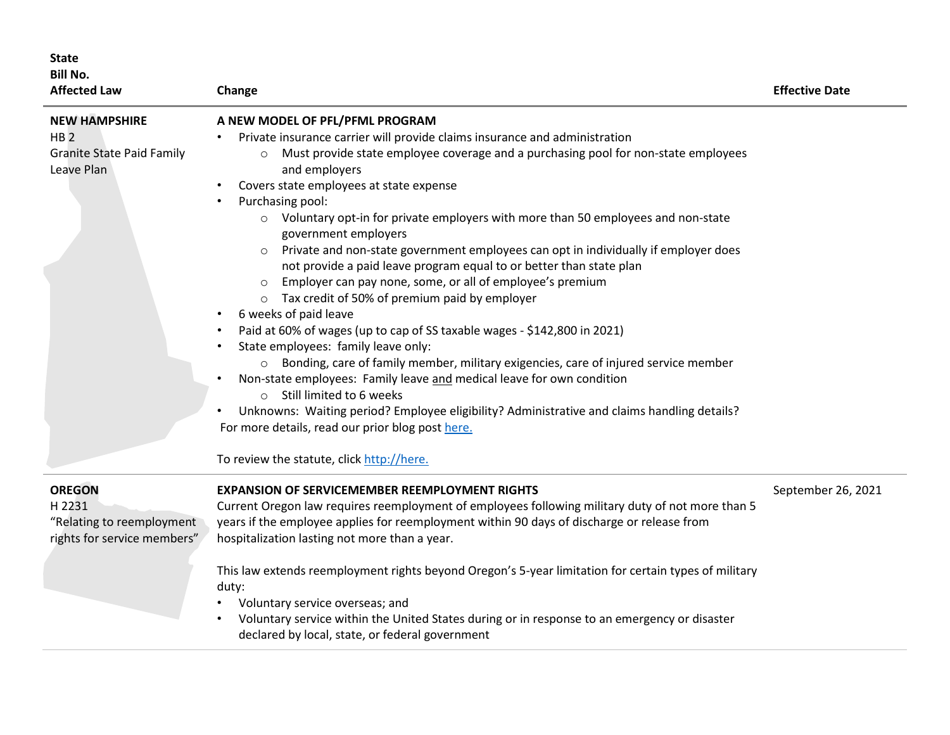| <b>State</b><br><b>Bill No.</b><br><b>Affected Law</b>                                    | Change                                                                                                                                                                                                                                                                                                                                                                                                                                                                                                                                                                                                                                                                                                                                                                                                                                                                                                                                                                                                                                                                                                                                                                                                                                 | <b>Effective Date</b> |
|-------------------------------------------------------------------------------------------|----------------------------------------------------------------------------------------------------------------------------------------------------------------------------------------------------------------------------------------------------------------------------------------------------------------------------------------------------------------------------------------------------------------------------------------------------------------------------------------------------------------------------------------------------------------------------------------------------------------------------------------------------------------------------------------------------------------------------------------------------------------------------------------------------------------------------------------------------------------------------------------------------------------------------------------------------------------------------------------------------------------------------------------------------------------------------------------------------------------------------------------------------------------------------------------------------------------------------------------|-----------------------|
| <b>NEW HAMPSHIRE</b><br>HB <sub>2</sub><br><b>Granite State Paid Family</b><br>Leave Plan | A NEW MODEL OF PFL/PFML PROGRAM<br>Private insurance carrier will provide claims insurance and administration<br>Must provide state employee coverage and a purchasing pool for non-state employees<br>$\circ$<br>and employers<br>Covers state employees at state expense<br>Purchasing pool:<br>○ Voluntary opt-in for private employers with more than 50 employees and non-state<br>government employers<br>Private and non-state government employees can opt in individually if employer does<br>not provide a paid leave program equal to or better than state plan<br>Employer can pay none, some, or all of employee's premium<br>o Tax credit of 50% of premium paid by employer<br>6 weeks of paid leave<br>Paid at 60% of wages (up to cap of SS taxable wages - \$142,800 in 2021)<br>State employees: family leave only:<br>o Bonding, care of family member, military exigencies, care of injured service member<br>Non-state employees: Family leave and medical leave for own condition<br>o Still limited to 6 weeks<br>Unknowns: Waiting period? Employee eligibility? Administrative and claims handling details?<br>For more details, read our prior blog post here.<br>To review the statute, click http://here. |                       |
| <b>OREGON</b><br>H 2231<br>"Relating to reemployment<br>rights for service members"       | <b>EXPANSION OF SERVICEMEMBER REEMPLOYMENT RIGHTS</b><br>Current Oregon law requires reemployment of employees following military duty of not more than 5<br>years if the employee applies for reemployment within 90 days of discharge or release from<br>hospitalization lasting not more than a year.<br>This law extends reemployment rights beyond Oregon's 5-year limitation for certain types of military<br>duty:<br>Voluntary service overseas; and<br>Voluntary service within the United States during or in response to an emergency or disaster<br>declared by local, state, or federal government                                                                                                                                                                                                                                                                                                                                                                                                                                                                                                                                                                                                                        | September 26, 2021    |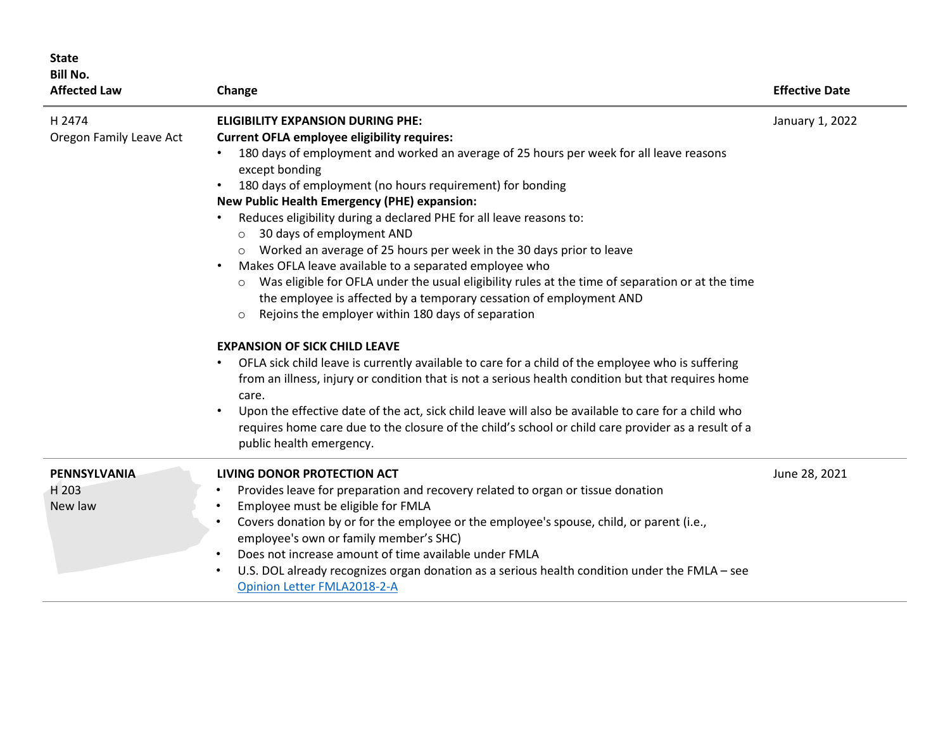| <b>State</b><br><b>Bill No.</b><br><b>Affected Law</b> | Change                                                                                                                                                                                                                                                                                                                                                                                                                                                                                                                                                                                                                                                                                                                                                                                                                                                                                                                                                                                                                                                                                                                                                                                                                                                                                                                                          | <b>Effective Date</b> |
|--------------------------------------------------------|-------------------------------------------------------------------------------------------------------------------------------------------------------------------------------------------------------------------------------------------------------------------------------------------------------------------------------------------------------------------------------------------------------------------------------------------------------------------------------------------------------------------------------------------------------------------------------------------------------------------------------------------------------------------------------------------------------------------------------------------------------------------------------------------------------------------------------------------------------------------------------------------------------------------------------------------------------------------------------------------------------------------------------------------------------------------------------------------------------------------------------------------------------------------------------------------------------------------------------------------------------------------------------------------------------------------------------------------------|-----------------------|
| H 2474<br>Oregon Family Leave Act                      | <b>ELIGIBILITY EXPANSION DURING PHE:</b><br><b>Current OFLA employee eligibility requires:</b><br>180 days of employment and worked an average of 25 hours per week for all leave reasons<br>except bonding<br>180 days of employment (no hours requirement) for bonding<br><b>New Public Health Emergency (PHE) expansion:</b><br>Reduces eligibility during a declared PHE for all leave reasons to:<br>30 days of employment AND<br>$\circ$<br>o Worked an average of 25 hours per week in the 30 days prior to leave<br>Makes OFLA leave available to a separated employee who<br>Was eligible for OFLA under the usual eligibility rules at the time of separation or at the time<br>$\circ$<br>the employee is affected by a temporary cessation of employment AND<br>Rejoins the employer within 180 days of separation<br>$\circ$<br><b>EXPANSION OF SICK CHILD LEAVE</b><br>OFLA sick child leave is currently available to care for a child of the employee who is suffering<br>from an illness, injury or condition that is not a serious health condition but that requires home<br>care.<br>Upon the effective date of the act, sick child leave will also be available to care for a child who<br>requires home care due to the closure of the child's school or child care provider as a result of a<br>public health emergency. | January 1, 2022       |
| <b>PENNSYLVANIA</b><br>H 203<br>New law                | LIVING DONOR PROTECTION ACT<br>Provides leave for preparation and recovery related to organ or tissue donation<br>Employee must be eligible for FMLA<br>Covers donation by or for the employee or the employee's spouse, child, or parent (i.e.,<br>employee's own or family member's SHC)<br>Does not increase amount of time available under FMLA<br>U.S. DOL already recognizes organ donation as a serious health condition under the FMLA - see<br>Opinion Letter FMLA2018-2-A                                                                                                                                                                                                                                                                                                                                                                                                                                                                                                                                                                                                                                                                                                                                                                                                                                                             | June 28, 2021         |